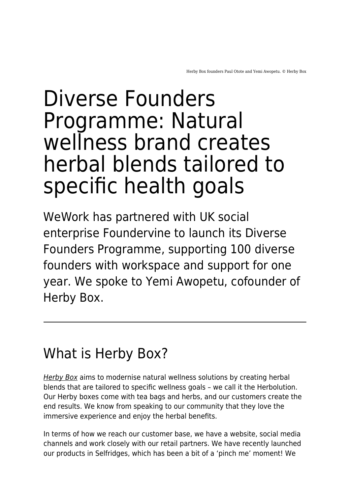# Diverse Founders Programme: Natural wellness brand creates herbal blends tailored to specific health goals

WeWork has partnered with UK social enterprise Foundervine to launch its Diverse Founders Programme, supporting 100 diverse founders with workspace and support for one year. We spoke to Yemi Awopetu, cofounder of Herby Box.

#### What is Herby Box?

[Herby Box](https://herbybox.com/) aims to modernise natural wellness solutions by creating herbal blends that are tailored to specific wellness goals – we call it the Herbolution. Our Herby boxes come with tea bags and herbs, and our customers create the end results. We know from speaking to our community that they love the immersive experience and enjoy the herbal benefits.

In terms of how we reach our customer base, we have a website, social media channels and work closely with our retail partners. We have recently launched our products in Selfridges, which has been a bit of a 'pinch me' moment! We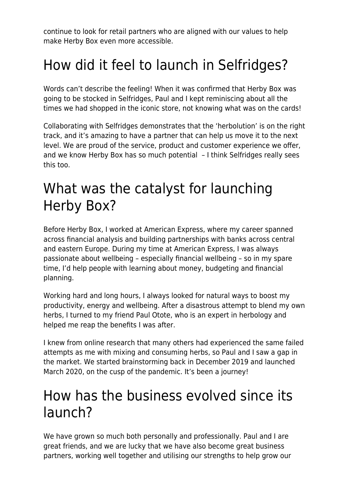continue to look for retail partners who are aligned with our values to help make Herby Box even more accessible.

## How did it feel to launch in Selfridges?

Words can't describe the feeling! When it was confirmed that Herby Box was going to be stocked in Selfridges, Paul and I kept reminiscing about all the times we had shopped in the iconic store, not knowing what was on the cards!

Collaborating with Selfridges demonstrates that the 'herbolution' is on the right track, and it's amazing to have a partner that can help us move it to the next level. We are proud of the service, product and customer experience we offer, and we know Herby Box has so much potential – I think Selfridges really sees this too.

#### What was the catalyst for launching Herby Box?

Before Herby Box, I worked at American Express, where my career spanned across financial analysis and building partnerships with banks across central and eastern Europe. During my time at American Express, I was always passionate about wellbeing – especially financial wellbeing – so in my spare time, I'd help people with learning about money, budgeting and financial planning.

Working hard and long hours, I always looked for natural ways to boost my productivity, energy and wellbeing. After a disastrous attempt to blend my own herbs, I turned to my friend Paul Otote, who is an expert in herbology and helped me reap the benefits I was after.

I knew from online research that many others had experienced the same failed attempts as me with mixing and consuming herbs, so Paul and I saw a gap in the market. We started brainstorming back in December 2019 and launched March 2020, on the cusp of the pandemic. It's been a journey!

#### How has the business evolved since its launch?

We have grown so much both personally and professionally. Paul and I are great friends, and we are lucky that we have also become great business partners, working well together and utilising our strengths to help grow our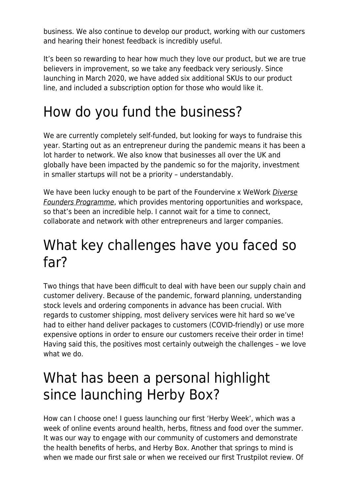business. We also continue to develop our product, working with our customers and hearing their honest feedback is incredibly useful.

It's been so rewarding to hear how much they love our product, but we are true believers in improvement, so we take any feedback very seriously. Since launching in March 2020, we have added six additional SKUs to our product line, and included a subscription option for those who would like it.

## How do you fund the business?

We are currently completely self-funded, but looking for ways to fundraise this year. Starting out as an entrepreneur during the pandemic means it has been a lot harder to network. We also know that businesses all over the UK and globally have been impacted by the pandemic so for the majority, investment in smaller startups will not be a priority – understandably.

We have been lucky enough to be part of the Foundervine x WeWork *[Diverse](https://www.maddyness.com/uk/2021/03/05/diverse-founders-programme-healthy-fruit-snack-brand-offers-an-exotic-twist/)* [Founders Programme](https://www.maddyness.com/uk/2021/03/05/diverse-founders-programme-healthy-fruit-snack-brand-offers-an-exotic-twist/), which provides mentoring opportunities and workspace, so that's been an incredible help. I cannot wait for a time to connect, collaborate and network with other entrepreneurs and larger companies.

#### What key challenges have you faced so far?

Two things that have been difficult to deal with have been our supply chain and customer delivery. Because of the pandemic, forward planning, understanding stock levels and ordering components in advance has been crucial. With regards to customer shipping, most delivery services were hit hard so we've had to either hand deliver packages to customers (COVID-friendly) or use more expensive options in order to ensure our customers receive their order in time! Having said this, the positives most certainly outweigh the challenges – we love what we do.

### What has been a personal highlight since launching Herby Box?

How can I choose one! I guess launching our first 'Herby Week', which was a week of online events around health, herbs, fitness and food over the summer. It was our way to engage with our community of customers and demonstrate the health benefits of herbs, and Herby Box. Another that springs to mind is when we made our first sale or when we received our first Trustpilot review. Of